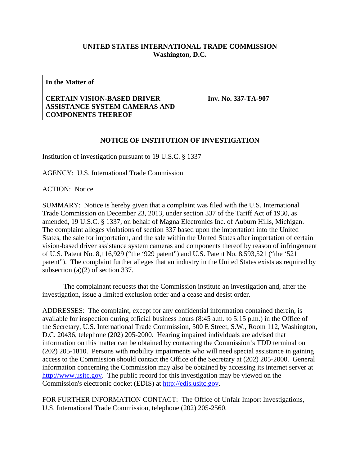## **UNITED STATES INTERNATIONAL TRADE COMMISSION Washington, D.C.**

**In the Matter of** 

## **CERTAIN VISION-BASED DRIVER ASSISTANCE SYSTEM CAMERAS AND COMPONENTS THEREOF**

**Inv. No. 337-TA-907**

## **NOTICE OF INSTITUTION OF INVESTIGATION**

Institution of investigation pursuant to 19 U.S.C. § 1337

AGENCY: U.S. International Trade Commission

ACTION: Notice

SUMMARY: Notice is hereby given that a complaint was filed with the U.S. International Trade Commission on December 23, 2013, under section 337 of the Tariff Act of 1930, as amended, 19 U.S.C. § 1337, on behalf of Magna Electronics Inc. of Auburn Hills, Michigan. The complaint alleges violations of section 337 based upon the importation into the United States, the sale for importation, and the sale within the United States after importation of certain vision-based driver assistance system cameras and components thereof by reason of infringement of U.S. Patent No. 8,116,929 ("the '929 patent") and U.S. Patent No. 8,593,521 ("the '521 patent"). The complaint further alleges that an industry in the United States exists as required by subsection (a)(2) of section 337.

 The complainant requests that the Commission institute an investigation and, after the investigation, issue a limited exclusion order and a cease and desist order.

ADDRESSES: The complaint, except for any confidential information contained therein, is available for inspection during official business hours (8:45 a.m. to 5:15 p.m.) in the Office of the Secretary, U.S. International Trade Commission, 500 E Street, S.W., Room 112, Washington, D.C. 20436, telephone (202) 205-2000. Hearing impaired individuals are advised that information on this matter can be obtained by contacting the Commission's TDD terminal on (202) 205-1810. Persons with mobility impairments who will need special assistance in gaining access to the Commission should contact the Office of the Secretary at (202) 205-2000. General information concerning the Commission may also be obtained by accessing its internet server at http://www.usitc.gov. The public record for this investigation may be viewed on the Commission's electronic docket (EDIS) at http://edis.usitc.gov.

FOR FURTHER INFORMATION CONTACT: The Office of Unfair Import Investigations, U.S. International Trade Commission, telephone (202) 205-2560.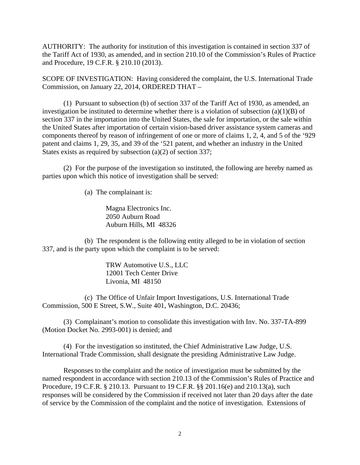AUTHORITY: The authority for institution of this investigation is contained in section 337 of the Tariff Act of 1930, as amended, and in section 210.10 of the Commission's Rules of Practice and Procedure, 19 C.F.R. § 210.10 (2013).

SCOPE OF INVESTIGATION: Having considered the complaint, the U.S. International Trade Commission, on January 22, 2014, ORDERED THAT –

 (1) Pursuant to subsection (b) of section 337 of the Tariff Act of 1930, as amended, an investigation be instituted to determine whether there is a violation of subsection (a)(1)(B) of section 337 in the importation into the United States, the sale for importation, or the sale within the United States after importation of certain vision-based driver assistance system cameras and components thereof by reason of infringement of one or more of claims 1, 2, 4, and 5 of the '929 patent and claims 1, 29, 35, and 39 of the '521 patent, and whether an industry in the United States exists as required by subsection (a)(2) of section 337;

 (2) For the purpose of the investigation so instituted, the following are hereby named as parties upon which this notice of investigation shall be served:

(a) The complainant is:

Magna Electronics Inc. 2050 Auburn Road Auburn Hills, MI 48326

 (b) The respondent is the following entity alleged to be in violation of section 337, and is the party upon which the complaint is to be served:

> TRW Automotive U.S., LLC 12001 Tech Center Drive Livonia, MI 48150

 (c) The Office of Unfair Import Investigations, U.S. International Trade Commission, 500 E Street, S.W., Suite 401, Washington, D.C. 20436;

 (3) Complainant's motion to consolidate this investigation with Inv. No. 337-TA-899 (Motion Docket No. 2993-001) is denied; and

 (4) For the investigation so instituted, the Chief Administrative Law Judge, U.S. International Trade Commission, shall designate the presiding Administrative Law Judge.

 Responses to the complaint and the notice of investigation must be submitted by the named respondent in accordance with section 210.13 of the Commission's Rules of Practice and Procedure, 19 C.F.R. § 210.13. Pursuant to 19 C.F.R. §§ 201.16(e) and 210.13(a), such responses will be considered by the Commission if received not later than 20 days after the date of service by the Commission of the complaint and the notice of investigation. Extensions of